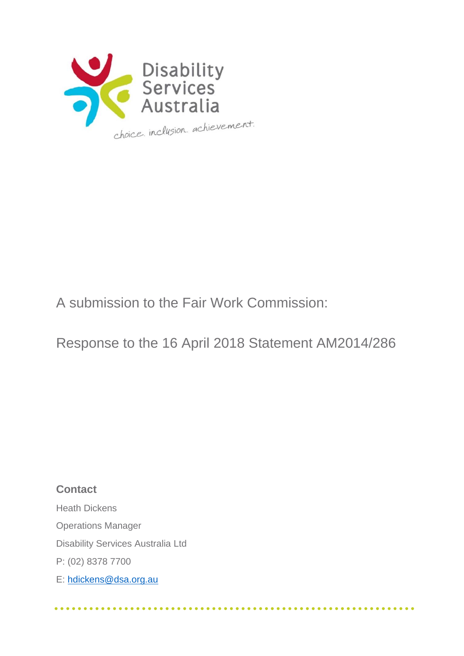

# A submission to the Fair Work Commission:

Response to the 16 April 2018 Statement AM2014/286

**Contact** Heath Dickens Operations Manager Disability Services Australia Ltd P: (02) 8378 7700 E: [hdickens@dsa.org.au](mailto:hdickens@dsa.org.au)

. . . . . . . . . . .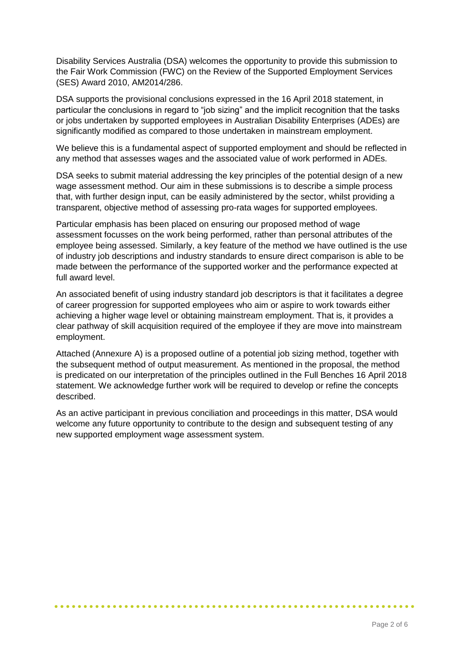Disability Services Australia (DSA) welcomes the opportunity to provide this submission to the Fair Work Commission (FWC) on the Review of the Supported Employment Services (SES) Award 2010, AM2014/286.

DSA supports the provisional conclusions expressed in the 16 April 2018 statement, in particular the conclusions in regard to "job sizing" and the implicit recognition that the tasks or jobs undertaken by supported employees in Australian Disability Enterprises (ADEs) are significantly modified as compared to those undertaken in mainstream employment.

We believe this is a fundamental aspect of supported employment and should be reflected in any method that assesses wages and the associated value of work performed in ADEs.

DSA seeks to submit material addressing the key principles of the potential design of a new wage assessment method. Our aim in these submissions is to describe a simple process that, with further design input, can be easily administered by the sector, whilst providing a transparent, objective method of assessing pro-rata wages for supported employees.

Particular emphasis has been placed on ensuring our proposed method of wage assessment focusses on the work being performed, rather than personal attributes of the employee being assessed. Similarly, a key feature of the method we have outlined is the use of industry job descriptions and industry standards to ensure direct comparison is able to be made between the performance of the supported worker and the performance expected at full award level.

An associated benefit of using industry standard job descriptors is that it facilitates a degree of career progression for supported employees who aim or aspire to work towards either achieving a higher wage level or obtaining mainstream employment. That is, it provides a clear pathway of skill acquisition required of the employee if they are move into mainstream employment.

Attached (Annexure A) is a proposed outline of a potential job sizing method, together with the subsequent method of output measurement. As mentioned in the proposal, the method is predicated on our interpretation of the principles outlined in the Full Benches 16 April 2018 statement. We acknowledge further work will be required to develop or refine the concepts described.

As an active participant in previous conciliation and proceedings in this matter, DSA would welcome any future opportunity to contribute to the design and subsequent testing of any new supported employment wage assessment system.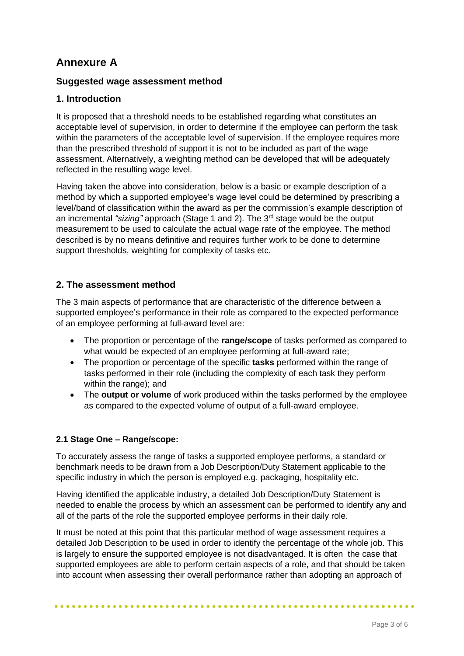## **Annexure A**

## **Suggested wage assessment method**

## **1. Introduction**

It is proposed that a threshold needs to be established regarding what constitutes an acceptable level of supervision, in order to determine if the employee can perform the task within the parameters of the acceptable level of supervision. If the employee requires more than the prescribed threshold of support it is not to be included as part of the wage assessment. Alternatively, a weighting method can be developed that will be adequately reflected in the resulting wage level.

Having taken the above into consideration, below is a basic or example description of a method by which a supported employee's wage level could be determined by prescribing a level/band of classification within the award as per the commission's example description of an incremental *"sizing"* approach (Stage 1 and 2). The 3rd stage would be the output measurement to be used to calculate the actual wage rate of the employee. The method described is by no means definitive and requires further work to be done to determine support thresholds, weighting for complexity of tasks etc.

## **2. The assessment method**

The 3 main aspects of performance that are characteristic of the difference between a supported employee's performance in their role as compared to the expected performance of an employee performing at full-award level are:

- The proportion or percentage of the **range/scope** of tasks performed as compared to what would be expected of an employee performing at full-award rate;
- The proportion or percentage of the specific **tasks** performed within the range of tasks performed in their role (including the complexity of each task they perform within the range); and
- The **output or volume** of work produced within the tasks performed by the employee as compared to the expected volume of output of a full-award employee.

## **2.1 Stage One – Range/scope:**

To accurately assess the range of tasks a supported employee performs, a standard or benchmark needs to be drawn from a Job Description/Duty Statement applicable to the specific industry in which the person is employed e.g. packaging, hospitality etc.

Having identified the applicable industry, a detailed Job Description/Duty Statement is needed to enable the process by which an assessment can be performed to identify any and all of the parts of the role the supported employee performs in their daily role.

It must be noted at this point that this particular method of wage assessment requires a detailed Job Description to be used in order to identify the percentage of the whole job. This is largely to ensure the supported employee is not disadvantaged. It is often the case that supported employees are able to perform certain aspects of a role, and that should be taken into account when assessing their overall performance rather than adopting an approach of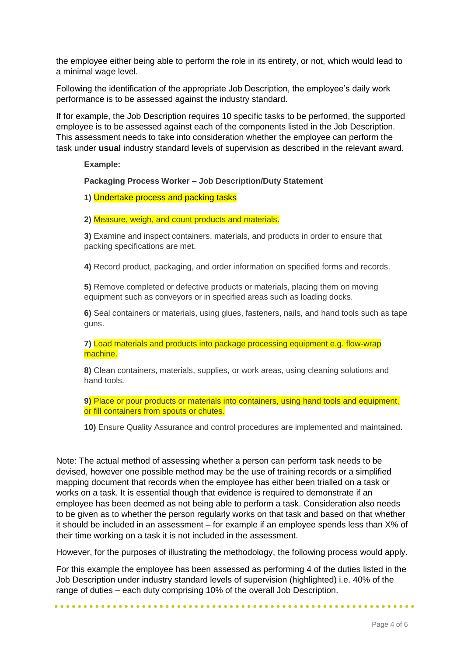the employee either being able to perform the role in its entirety, or not, which would lead to a minimal wage level.

Following the identification of the appropriate Job Description, the employee's daily work performance is to be assessed against the industry standard.

If for example, the Job Description requires 10 specific tasks to be performed, the supported employee is to be assessed against each of the components listed in the Job Description. This assessment needs to take into consideration whether the employee can perform the task under **usual** industry standard levels of supervision as described in the relevant award.

**Example:**

**Packaging Process Worker – Job Description/Duty Statement**

**1)** Undertake process and packing tasks

**2)** Measure, weigh, and count products and materials.

**3)** Examine and inspect containers, materials, and products in order to ensure that packing specifications are met.

**4)** Record product, packaging, and order information on specified forms and records.

**5)** Remove completed or defective products or materials, placing them on moving equipment such as conveyors or in specified areas such as loading docks.

**6)** Seal containers or materials, using glues, fasteners, nails, and hand tools such as tape guns.

**7)** Load materials and products into package processing equipment e.g. flow-wrap machine.

**8)** Clean containers, materials, supplies, or work areas, using cleaning solutions and hand tools.

**9)** Place or pour products or materials into containers, using hand tools and equipment, or fill containers from spouts or chutes.

**10)** Ensure Quality Assurance and control procedures are implemented and maintained.

Note: The actual method of assessing whether a person can perform task needs to be devised, however one possible method may be the use of training records or a simplified mapping document that records when the employee has either been trialled on a task or works on a task. It is essential though that evidence is required to demonstrate if an employee has been deemed as not being able to perform a task. Consideration also needs to be given as to whether the person regularly works on that task and based on that whether it should be included in an assessment – for example if an employee spends less than X% of their time working on a task it is not included in the assessment.

However, for the purposes of illustrating the methodology, the following process would apply.

For this example the employee has been assessed as performing 4 of the duties listed in the Job Description under industry standard levels of supervision (highlighted) i.e. 40% of the range of duties – each duty comprising 10% of the overall Job Description.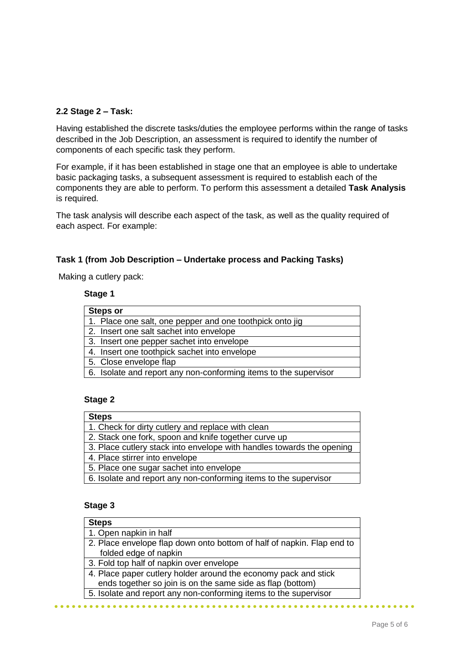## **2.2 Stage 2 – Task:**

Having established the discrete tasks/duties the employee performs within the range of tasks described in the Job Description, an assessment is required to identify the number of components of each specific task they perform.

For example, if it has been established in stage one that an employee is able to undertake basic packaging tasks, a subsequent assessment is required to establish each of the components they are able to perform. To perform this assessment a detailed **Task Analysis** is required.

The task analysis will describe each aspect of the task, as well as the quality required of each aspect. For example:

#### **Task 1 (from Job Description – Undertake process and Packing Tasks)**

Making a cutlery pack:

#### **Stage 1**

| <b>Steps or</b>                                                  |
|------------------------------------------------------------------|
| 1. Place one salt, one pepper and one toothpick onto jig         |
| 2. Insert one salt sachet into envelope                          |
| 3. Insert one pepper sachet into envelope                        |
| 4. Insert one toothpick sachet into envelope                     |
| 5. Close envelope flap                                           |
| 6. Isolate and report any non-conforming items to the supervisor |

#### **Stage 2**

| <b>Steps</b>                                                          |
|-----------------------------------------------------------------------|
| 1. Check for dirty cutlery and replace with clean                     |
| 2. Stack one fork, spoon and knife together curve up                  |
| 3. Place cutlery stack into envelope with handles towards the opening |
| 4. Place stirrer into envelope                                        |
| 5. Place one sugar sachet into envelope                               |
| 6. Isolate and report any non-conforming items to the supervisor      |
|                                                                       |

## **Stage 3**

 $$ 

| <b>Steps</b>                                                           |
|------------------------------------------------------------------------|
| 1. Open napkin in half                                                 |
| 2. Place envelope flap down onto bottom of half of napkin. Flap end to |
| folded edge of napkin                                                  |
| 3. Fold top half of napkin over envelope                               |
| 4. Place paper cutlery holder around the economy pack and stick        |
| ends together so join is on the same side as flap (bottom)             |
| 5. Isolate and report any non-conforming items to the supervisor       |
|                                                                        |